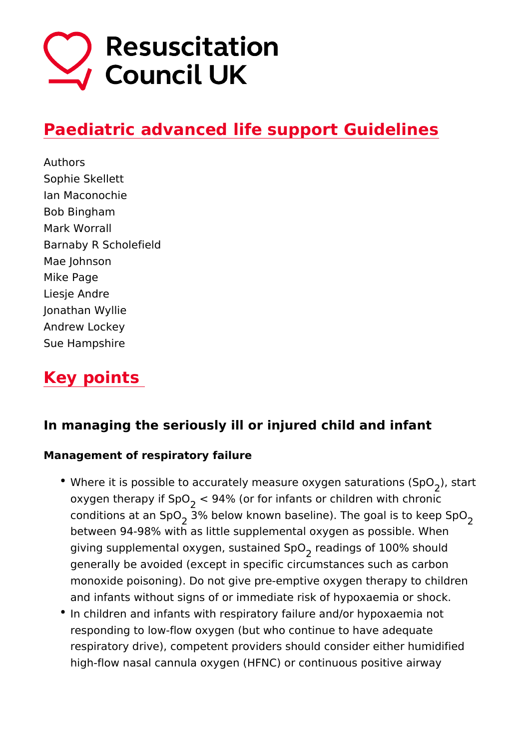### [Paediatric advanced life support G](https://www.resus.org.uk/library/2021-resuscitation-guidelines/paediatric-advanced-life-support-guidelines)uideline

Authors Sophie Skellett Ian Maconochie Bob Bingham Mark Worrall Barnaby R Scholefield Mae Johnson Mike Page Liesje Andre Jonathan Wyllie Andrew Lockey Sue Hampshire

### Key points

In managing the seriously ill or injured child and infan

Management of respiratory failure

- . Where it is possible to accurately measure oxygen statutrations oxygen therapy if<Sp4% (or for infants or children with chron conditions at an 3S%  $\Phi$  elow known baseline). The goal, is to ke between 94-98% with as little supplemental oxygen as possi giving supplemental oxygen, sustaeiandeion gSsp Of 100% should generally be avoided (except in specific circumstances such monoxide poisoning). Do not give pre-emptive oxygen therap and infants without signs of or immediate risk of hypoxaemia
- In children and infants with respiratory failure and/or hypox responding to low-flow oxygen (but who continue to have ad respiratory drive), competent providers should consider eith high-flow nasal cannula oxygen (HFNC) or continuous positi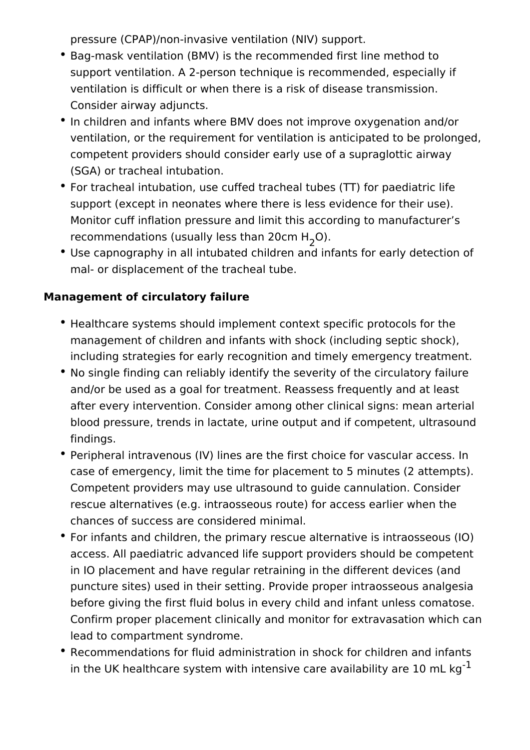pressure (CPAP)/non-invasive ventilation (NIV) support.

- Bag-mask ventilation (BMV) is the recommended first line method to support ventilation. A 2-person technique is recommended, especially if ventilation is difficult or when there is a risk of disease transmission. Consider airway adjuncts.
- In children and infants where BMV does not improve oxygenation and/or ventilation, or the requirement for ventilation is anticipated to be prolonged, competent providers should consider early use of a supraglottic airway (SGA) or tracheal intubation.
- For tracheal intubation, use cuffed tracheal tubes (TT) for paediatric life support (except in neonates where there is less evidence for their use). Monitor cuff inflation pressure and limit this according to manufacturer's recommendations (usually less than 20cm H<sub>2</sub>O).
- Use capnography in all intubated children and infants for early detection of mal- or displacement of the tracheal tube.

### **Management of circulatory failure**

- Healthcare systems should implement context specific protocols for the management of children and infants with shock (including septic shock), including strategies for early recognition and timely emergency treatment.
- No single finding can reliably identify the severity of the circulatory failure and/or be used as a goal for treatment. Reassess frequently and at least after every intervention. Consider among other clinical signs: mean arterial blood pressure, trends in lactate, urine output and if competent, ultrasound findings.
- Peripheral intravenous (IV) lines are the first choice for vascular access. In case of emergency, limit the time for placement to 5 minutes (2 attempts). Competent providers may use ultrasound to guide cannulation. Consider rescue alternatives (e.g. intraosseous route) for access earlier when the chances of success are considered minimal.
- For infants and children, the primary rescue alternative is intraosseous (IO) access. All paediatric advanced life support providers should be competent in IO placement and have regular retraining in the different devices (and puncture sites) used in their setting. Provide proper intraosseous analgesia before giving the first fluid bolus in every child and infant unless comatose. Confirm proper placement clinically and monitor for extravasation which can lead to compartment syndrome.
- Recommendations for fluid administration in shock for children and infants in the UK healthcare system with intensive care availability are 10 mL  $kg^{-1}$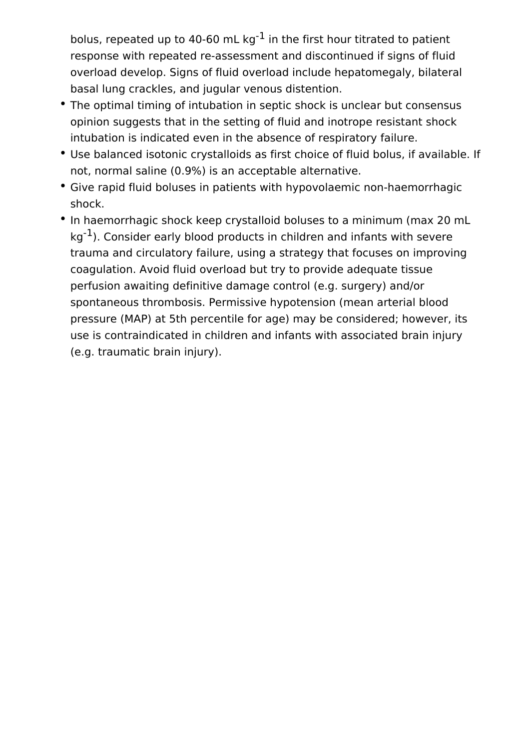bolus, repeated up to 40-60 mL  $kq^{-1}$  in the first hour titrated to patient response with repeated re-assessment and discontinued if signs of fluid overload develop. Signs of fluid overload include hepatomegaly, bilateral basal lung crackles, and jugular venous distention.

- The optimal timing of intubation in septic shock is unclear but consensus opinion suggests that in the setting of fluid and inotrope resistant shock intubation is indicated even in the absence of respiratory failure.
- Use balanced isotonic crystalloids as first choice of fluid bolus, if available. If not, normal saline (0.9%) is an acceptable alternative.
- Give rapid fluid boluses in patients with hypovolaemic non-haemorrhagic shock.
- In haemorrhagic shock keep crystalloid boluses to a minimum (max 20 mL  $kq^{-1}$ ). Consider early blood products in children and infants with severe trauma and circulatory failure, using a strategy that focuses on improving coagulation. Avoid fluid overload but try to provide adequate tissue perfusion awaiting definitive damage control (e.g. surgery) and/or spontaneous thrombosis. Permissive hypotension (mean arterial blood pressure (MAP) at 5th percentile for age) may be considered; however, its use is contraindicated in children and infants with associated brain injury (e.g. traumatic brain injury).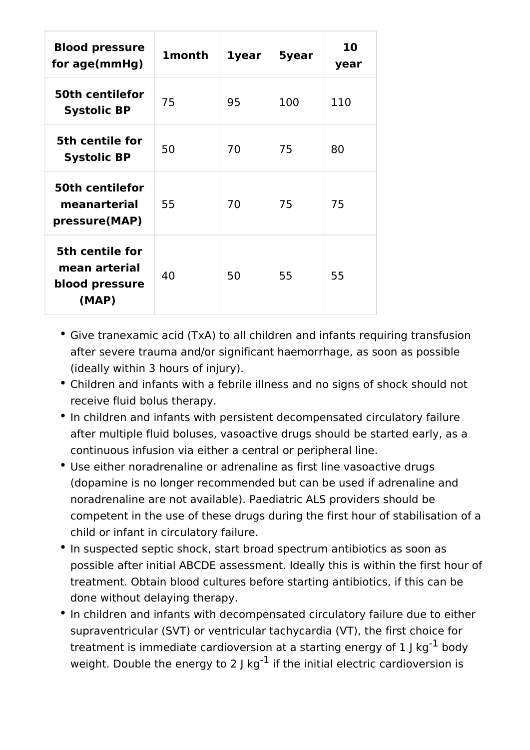| <b>Blood pressure</b><br>for age(mmHg)                      | <b>1month</b> | <b>1year</b> | 5year | 10<br>year |
|-------------------------------------------------------------|---------------|--------------|-------|------------|
| <b>50th centilefor</b><br><b>Systolic BP</b>                | 75            | 95           | 100   | 110        |
| 5th centile for<br><b>Systolic BP</b>                       | 50            | 70           | 75    | 80         |
| <b>50th centilefor</b><br>meanarterial<br>pressure(MAP)     | 55            | 70           | 75    | 75         |
| 5th centile for<br>mean arterial<br>blood pressure<br>(MAP) | 40            | 50           | 55    | 55         |

- Give tranexamic acid (TxA) to all children and infants requiring transfusion after severe trauma and/or significant haemorrhage, as soon as possible (ideally within 3 hours of injury).
- Children and infants with a febrile illness and no signs of shock should not receive fluid bolus therapy.
- In children and infants with persistent decompensated circulatory failure after multiple fluid boluses, vasoactive drugs should be started early, as a continuous infusion via either a central or peripheral line.
- Use either noradrenaline or adrenaline as first line vasoactive drugs (dopamine is no longer recommended but can be used if adrenaline and noradrenaline are not available). Paediatric ALS providers should be competent in the use of these drugs during the first hour of stabilisation of a child or infant in circulatory failure.
- In suspected septic shock, start broad spectrum antibiotics as soon as possible after initial ABCDE assessment. Ideally this is within the first hour of treatment. Obtain blood cultures before starting antibiotics, if this can be done without delaying therapy.
- In children and infants with decompensated circulatory failure due to either supraventricular (SVT) or ventricular tachycardia (VT), the first choice for treatment is immediate cardioversion at a starting energy of  $1$  J kg<sup>-1</sup> body weight. Double the energy to 2 J  $kg^{-1}$  if the initial electric cardioversion is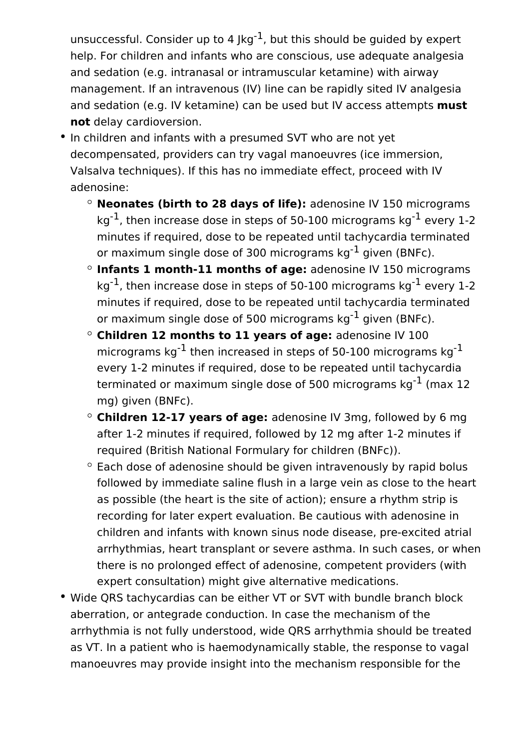unsuccessful. Consider up to 4  $\text{kg}^{-1}$ , but this should be guided by expert help. For children and infants who are conscious, use adequate analgesia and sedation (e.g. intranasal or intramuscular ketamine) with airway management. If an intravenous (IV) line can be rapidly sited IV analgesia and sedation (e.g. IV ketamine) can be used but IV access attempts **must not** delay cardioversion.

- In children and infants with a presumed SVT who are not yet decompensated, providers can try vagal manoeuvres (ice immersion, Valsalva techniques). If this has no immediate effect, proceed with IV adenosine:
	- **Neonates (birth to 28 days of life):** adenosine IV 150 micrograms kg<sup>-1</sup>, then increase dose in steps of 50-100 micrograms kg<sup>-1</sup> every 1-2 minutes if required, dose to be repeated until tachycardia terminated or maximum single dose of 300 micrograms  $kq^{-1}$  given (BNFc).
	- **Infants 1 month-11 months of age:** adenosine IV 150 micrograms kg<sup>-1</sup>, then increase dose in steps of 50-100 micrograms kg<sup>-1</sup> every 1-2 minutes if required, dose to be repeated until tachycardia terminated or maximum single dose of 500 micrograms  $kq^{-1}$  given (BNFc).
	- **Children 12 months to 11 years of age:** adenosine IV 100 micrograms kg<sup>-1</sup> then increased in steps of 50-100 micrograms kg<sup>-1</sup> every 1-2 minutes if required, dose to be repeated until tachycardia terminated or maximum single dose of 500 micrograms  $kg^{-1}$  (max 12 mg) given (BNFc).
	- **Children 12-17 years of age:** adenosine IV 3mg, followed by 6 mg after 1-2 minutes if required, followed by 12 mg after 1-2 minutes if required (British National Formulary for children (BNFc)).
	- $\degree$  Each dose of adenosine should be given intravenously by rapid bolus followed by immediate saline flush in a large vein as close to the heart as possible (the heart is the site of action); ensure a rhythm strip is recording for later expert evaluation. Be cautious with adenosine in children and infants with known sinus node disease, pre-excited atrial arrhythmias, heart transplant or severe asthma. In such cases, or when there is no prolonged effect of adenosine, competent providers (with expert consultation) might give alternative medications.
- Wide QRS tachycardias can be either VT or SVT with bundle branch block aberration, or antegrade conduction. In case the mechanism of the arrhythmia is not fully understood, wide QRS arrhythmia should be treated as VT. In a patient who is haemodynamically stable, the response to vagal manoeuvres may provide insight into the mechanism responsible for the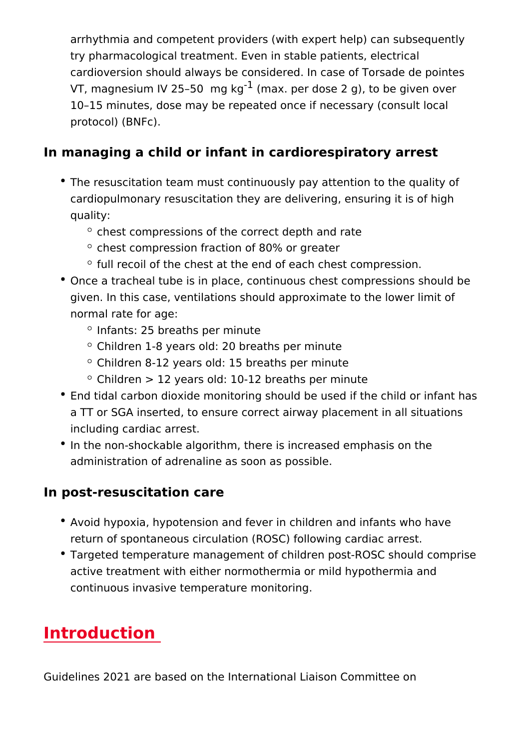arrhythmia and competent providers (with expert help) can s try pharmacological treatment. Even in stable patients, elec cardioversion should always be considered. In case of Torsa VT, magnesium IV 25 50<sup>1</sup> (maxkgper dose 2 g), to be given ov 10 15 minutes, dose may be repeated once if necessary (cor protocol) (BNFc).

In managing a child or infant in cardiorespiratory arre

- The resuscitation team must continuously pay attention to th cardiopulmonary resuscitation they are delivering, ensuring quality:
	- $\circ$  chest compressions of the correct depth and rate
	- $\degree$  chest compression fraction of 80% or greater
	- $\circ$  full recoil of the chest at the end of each chest compres
- Once a tracheal tube is in place, continuous chest compress given. In this case, ventilations should approximate to the I normal rate for age:
	- $\circ$  Infants: 25 breaths per minute
	- Children 1-8 years old: 20 breaths per minute
	- Children 8-12 years old: 15 breaths per minute
	- $\degree$  Children > 12 years old: 10-12 breaths per minute
- **End tidal carbon dioxide monitoring should be used if the child or infant has had the stand for the child or** a TT or SGA inserted, to ensure correct airway placement in including cardiac arrest.
- In the non-shockable algorithm, there is increased emphasis administration of adrenaline as soon as possible.

In post-resuscitation care

- Avoid hypoxia, hypotension and fever in children and infants return of spontaneous circulation (ROSC) following cardiac
- Targeted temperature management of children post-ROSC sh active treatment with either normothermia or mild hypotherm continuous invasive temperature monitoring.

### Introduction

Guidelines 2021 are based on the International Liaison Committ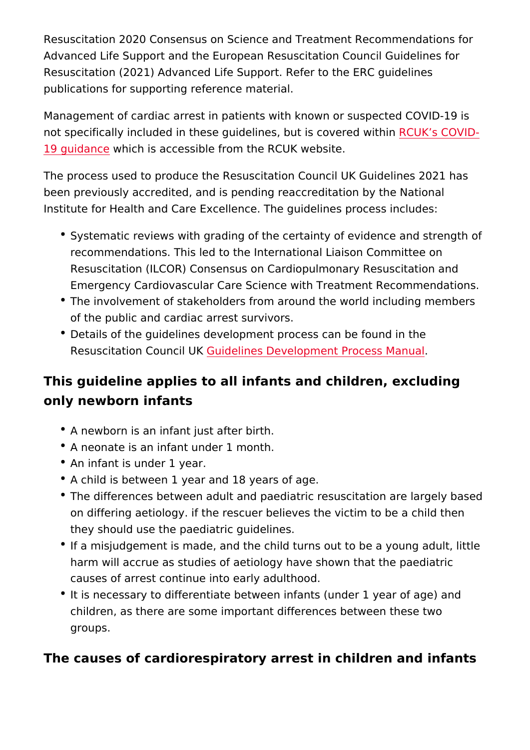Resuscitation 2020 Consensus on Science and Treatment Recom Advanced Life Support and the European Resuscitation Council Resuscitation (2021) Advanced Life Support. Refer to the ERC g publications for supporting reference material.

Management of cardiac arrest in patients with known or suspect not specifically included in these guidelines, bRuC WSK csovCeO & dDwith [19 guida](https://www.resus.org.uk/covid-19-resources)nwhich is accessible from the RCUK website.

The process used to produce the Resuscitation Council UK Guid been previously accredited, and is pending reaccreditation by t Institute for Health and Care Excellence. The quidelines proces

- Systematic reviews with grading of the certainty of evidence recommendations. This led to the International Liaison Comi Resuscitation (ILCOR) Consensus on Cardiopulmonary Resus Emergency Cardiovascular Care Science with Treatment Rec
- \* The involvement of stakeholders from around the world inclu of the public and cardiac arrest survivors.
- Details of the guidelines development process can be found Resuscitation Couccild UKnes Development Process Manual

This guideline applies to all infants and children, excl only newborn infants

- A newborn is an infant just after birth.
- A neonate is an infant under 1 month.
- An infant is under 1 year.
- A child is between 1 year and 18 years of age.
- The differences between adult and paediatric resuscitation a on differing aetiology. if the rescuer believes the victim to they should use the paediatric guidelines.
- If a misjudgement is made, and the child turns out to be a y harm will accrue as studies of aetiology have shown that the causes of arrest continue into early adulthood.
- It is necessary to differentiate between infants (under 1 yea children, as there are some important differences between t groups.

The causes of cardiorespiratory arrest in children and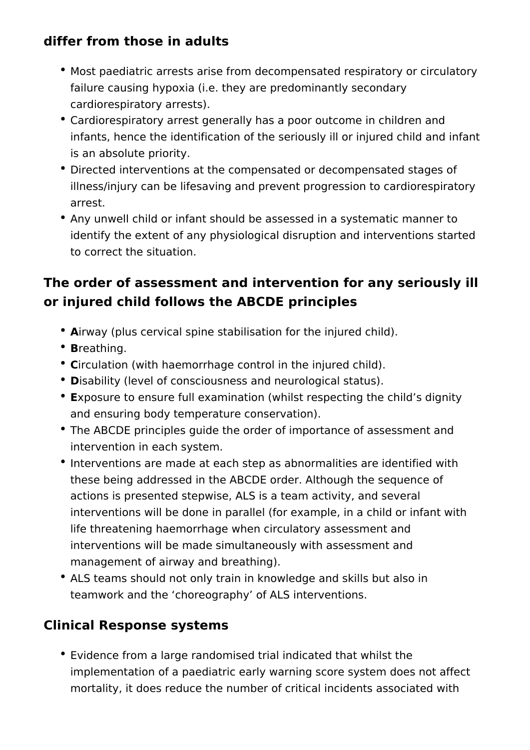### **differ from those in adults**

- Most paediatric arrests arise from decompensated respiratory or circulatory failure causing hypoxia (i.e. they are predominantly secondary cardiorespiratory arrests).
- Cardiorespiratory arrest generally has a poor outcome in children and infants, hence the identification of the seriously ill or injured child and infant is an absolute priority.
- Directed interventions at the compensated or decompensated stages of illness/injury can be lifesaving and prevent progression to cardiorespiratory arrest.
- Any unwell child or infant should be assessed in a systematic manner to identify the extent of any physiological disruption and interventions started to correct the situation.

## **The order of assessment and intervention for any seriously ill or injured child follows the ABCDE principles**

- **A**irway (plus cervical spine stabilisation for the injured child).
- **B**reathing.
- **Circulation (with haemorrhage control in the injured child).**
- **D**isability (level of consciousness and neurological status).
- **E**xposure to ensure full examination (whilst respecting the child's dignity and ensuring body temperature conservation).
- The ABCDE principles guide the order of importance of assessment and intervention in each system.
- Interventions are made at each step as abnormalities are identified with these being addressed in the ABCDE order. Although the sequence of actions is presented stepwise, ALS is a team activity, and several interventions will be done in parallel (for example, in a child or infant with life threatening haemorrhage when circulatory assessment and interventions will be made simultaneously with assessment and management of airway and breathing).
- ALS teams should not only train in knowledge and skills but also in teamwork and the 'choreography' of ALS interventions.

### **Clinical Response systems**

Evidence from a large randomised trial indicated that whilst the implementation of a paediatric early warning score system does not affect mortality, it does reduce the number of critical incidents associated with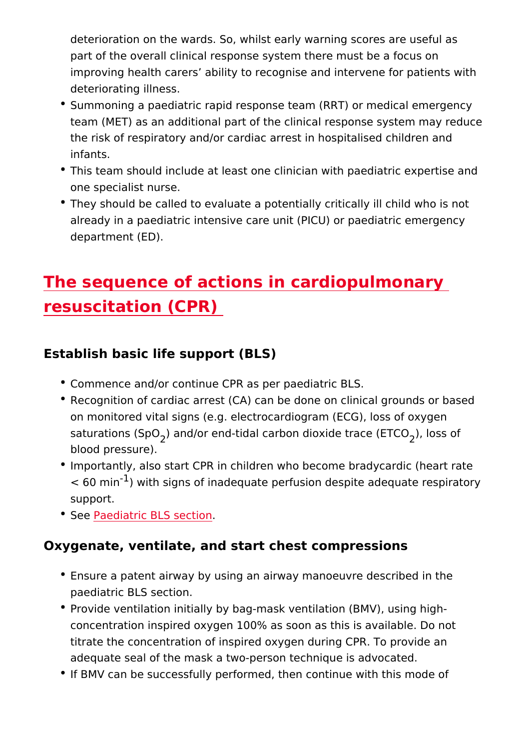deterioration on the wards. So, whilst early warning scores part of the overall clinical response system there must be a improving health carers ability to recognise and intervene for deteriorating illness.

- Summoning a paediatric rapid response team (RRT) or medic team (MET) as an additional part of the clinical response sy the risk of respiratory and/or cardiac arrest in hospitalised infants.
- This team should include at least one clinician with paediat one specialist nurse.
- They should be called to evaluate a potentially critically ill already in a paediatric intensive care unit (PICU) or paediat department (ED).

# The sequence of actions in cardiopulmonal resuscitation (CPR)

Establish basic life support (BLS)

- Commence and/or continue CPR as per paediatric BLS.
- Recognition of cardiac arrest (CA) can be done on clinical g on monitored vital signs (e.g. electrocardiogram (ECG), loss saturations (SpOd/or end-tidal carbon dioxide) traces (CHTCO blood pressure).
- $\bullet$  Importantly, also start CPR in children who become bradyca  $<$  60 mi $\hat{h}$  with signs of inadequate perfusion despite adequat support.
- **Se[e Paediatric BLS](https://www.resus.org.uk/library/2021-resuscitation-guidelines/paediatric-basic-life-support-guidelines) section**

Oxygenate, ventilate, and start chest compressions

- Ensure a patent airway by using an airway manoeuvre descri paediatric BLS section.
- Provide ventilation initially by bag-mask ventilation (BMV), concentration inspired oxygen 100% as soon as this is avail titrate the concentration of inspired oxygen during CPR. To adequate seal of the mask a two-person technique is advoca
- If BMV can be successfully performed, then continue with th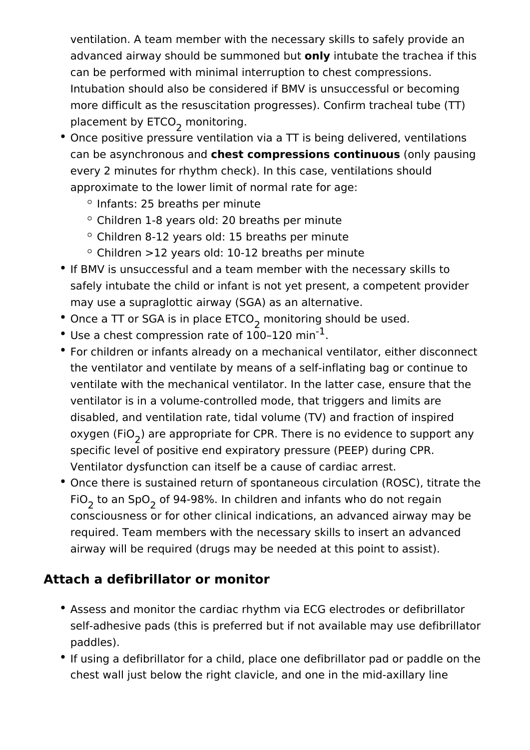ventilation. A team member with the necessary skills to safely provide an advanced airway should be summoned but **only** intubate the trachea if this can be performed with minimal interruption to chest compressions. Intubation should also be considered if BMV is unsuccessful or becoming more difficult as the resuscitation progresses). Confirm tracheal tube (TT) placement by ETCO<sub>2</sub> monitoring.

- Once positive pressure ventilation via a TT is being delivered, ventilations can be asynchronous and **chest compressions continuous** (only pausing every 2 minutes for rhythm check). In this case, ventilations should approximate to the lower limit of normal rate for age:
	- $\circ$  Infants: 25 breaths per minute
	- $\circ$  Children 1-8 years old: 20 breaths per minute
	- $\circ$  Children 8-12 years old: 15 breaths per minute
	- $\degree$  Children >12 years old: 10-12 breaths per minute
- If BMV is unsuccessful and a team member with the necessary skills to safely intubate the child or infant is not yet present, a competent provider may use a supraglottic airway (SGA) as an alternative.
- Once a TT or SGA is in place  $ETCO_2$  monitoring should be used.
- Use a chest compression rate of  $100-120$  min<sup>-1</sup>.
- For children or infants already on a mechanical ventilator, either disconnect the ventilator and ventilate by means of a self-inflating bag or continue to ventilate with the mechanical ventilator. In the latter case, ensure that the ventilator is in a volume-controlled mode, that triggers and limits are disabled, and ventilation rate, tidal volume (TV) and fraction of inspired oxygen (FiO<sub>2</sub>) are appropriate for CPR. There is no evidence to support any specific level of positive end expiratory pressure (PEEP) during CPR. Ventilator dysfunction can itself be a cause of cardiac arrest.
- Once there is sustained return of spontaneous circulation (ROSC), titrate the FiO<sub>2</sub> to an SpO<sub>2</sub> of 94-98%. In children and infants who do not regain consciousness or for other clinical indications, an advanced airway may be required. Team members with the necessary skills to insert an advanced airway will be required (drugs may be needed at this point to assist).

### **Attach a defibrillator or monitor**

- Assess and monitor the cardiac rhythm via ECG electrodes or defibrillator self-adhesive pads (this is preferred but if not available may use defibrillator paddles).
- If using a defibrillator for a child, place one defibrillator pad or paddle on the chest wall just below the right clavicle, and one in the mid-axillary line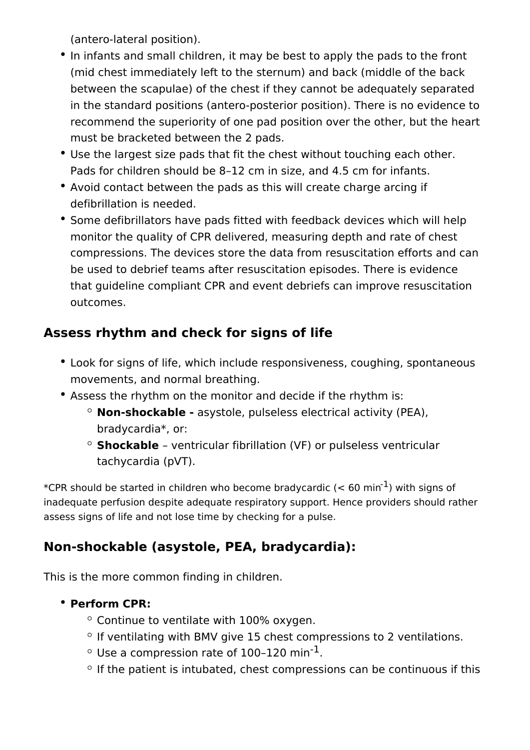(antero-lateral position).

- In infants and small children, it may be best to apply the pads to the front (mid chest immediately left to the sternum) and back (middle of the back between the scapulae) of the chest if they cannot be adequately separated in the standard positions (antero-posterior position). There is no evidence to recommend the superiority of one pad position over the other, but the heart must be bracketed between the 2 pads.
- Use the largest size pads that fit the chest without touching each other. Pads for children should be 8–12 cm in size, and 4.5 cm for infants.
- Avoid contact between the pads as this will create charge arcing if defibrillation is needed.
- Some defibrillators have pads fitted with feedback devices which will help monitor the quality of CPR delivered, measuring depth and rate of chest compressions. The devices store the data from resuscitation efforts and can be used to debrief teams after resuscitation episodes. There is evidence that guideline compliant CPR and event debriefs can improve resuscitation outcomes.

### **Assess rhythm and check for signs of life**

- Look for signs of life, which include responsiveness, coughing, spontaneous movements, and normal breathing.
- Assess the rhythm on the monitor and decide if the rhythm is:
	- **Non-shockable -** asystole, pulseless electrical activity (PEA), bradycardia\*, or:
	- **Shockable**  ventricular fibrillation (VF) or pulseless ventricular tachycardia (pVT).

\*CPR should be started in children who become bradycardic ( $<$  60 min<sup>-1</sup>) with signs of inadequate perfusion despite adequate respiratory support. Hence providers should rather assess signs of life and not lose time by checking for a pulse.

## **Non-shockable (asystole, PEA, bradycardia):**

This is the more common finding in children.

#### **Perform CPR:**

- $\degree$  Continue to ventilate with 100% oxygen.
- $\circ$  If ventilating with BMV give 15 chest compressions to 2 ventilations.
- $\circ$  Use a compression rate of 100-120 min<sup>-1</sup>.
- $\degree$  If the patient is intubated, chest compressions can be continuous if this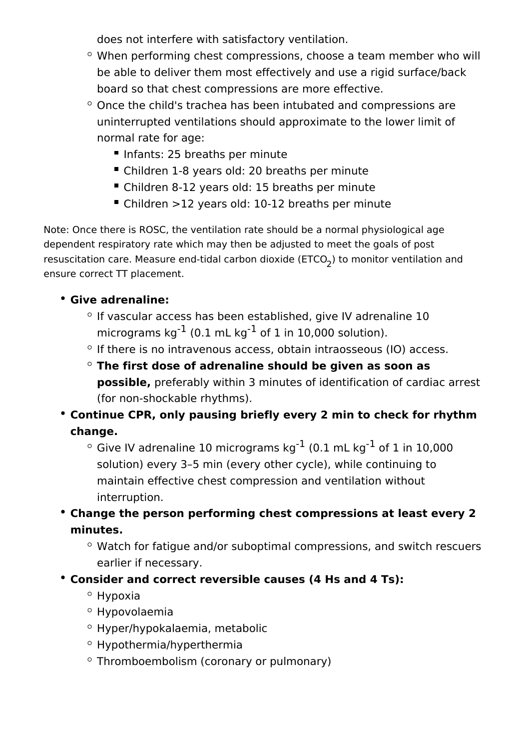does not interfere with satisfactory ventilation.

- $\degree$  When performing chest compressions, choose a team member who will be able to deliver them most effectively and use a rigid surface/back board so that chest compressions are more effective.
- $\degree$  Once the child's trachea has been intubated and compressions are uninterrupted ventilations should approximate to the lower limit of normal rate for age:
	- Infants: 25 breaths per minute
	- Children 1-8 years old: 20 breaths per minute
	- Children 8-12 years old: 15 breaths per minute
	- Children >12 years old: 10-12 breaths per minute

Note: Once there is ROSC, the ventilation rate should be a normal physiological age dependent respiratory rate which may then be adjusted to meet the goals of post resuscitation care. Measure end-tidal carbon dioxide (ETCO<sub>2</sub>) to monitor ventilation and ensure correct TT placement.

#### **Give adrenaline:**

- $\degree$  If vascular access has been established, give IV adrenaline 10 micrograms  $kg^{-1}$  (0.1 mL kg<sup>-1</sup> of 1 in 10,000 solution).
- $\circ$  If there is no intravenous access, obtain intraosseous (IO) access.
- **The first dose of adrenaline should be given as soon as possible,** preferably within 3 minutes of identification of cardiac arrest (for non-shockable rhythms).
- **Continue CPR, only pausing briefly every 2 min to check for rhythm change.** 
	- $\degree$  Give IV adrenaline 10 micrograms kg<sup>-1</sup> (0.1 mL kg<sup>-1</sup> of 1 in 10,000 solution) every 3–5 min (every other cycle), while continuing to maintain effective chest compression and ventilation without interruption.
- **Change the person performing chest compressions at least every 2 minutes.** 
	- $\circ$  Watch for fatigue and/or suboptimal compressions, and switch rescuers earlier if necessary.
- **Consider and correct reversible causes (4 Hs and 4 Ts):** 
	- $\circ$  Hypoxia
	- $\circ$  Hypovolaemia
	- Hyper/hypokalaemia, metabolic
	- Hypothermia/hyperthermia
	- Thromboembolism (coronary or pulmonary)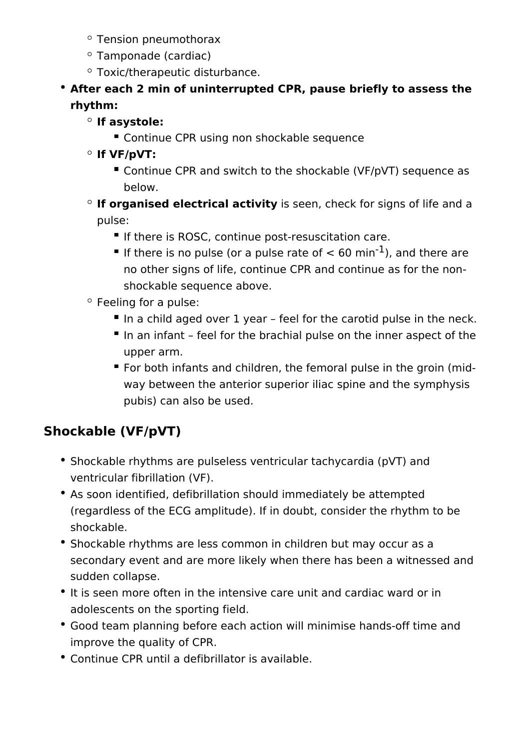- Tension pneumothorax
- Tamponade (cardiac)
- Toxic/therapeutic disturbance.

#### **After each 2 min of uninterrupted CPR, pause briefly to assess the rhythm:**

#### **If asystole:**

**Continue CPR using non shockable sequence** 

#### **If VF/pVT:**

- Continue CPR and switch to the shockable (VF/pVT) sequence as below.
- **If organised electrical activity** is seen, check for signs of life and a pulse:
	- If there is ROSC, continue post-resuscitation care.
	- If there is no pulse (or a pulse rate of  $< 60$  min<sup>-1</sup>), and there are no other signs of life, continue CPR and continue as for the nonshockable sequence above.
- $\circ$  Feeling for a pulse:
	- In a child aged over 1 year feel for the carotid pulse in the neck.
	- In an infant feel for the brachial pulse on the inner aspect of the upper arm.
	- For both infants and children, the femoral pulse in the groin (midway between the anterior superior iliac spine and the symphysis pubis) can also be used.

### **Shockable (VF/pVT)**

- Shockable rhythms are pulseless ventricular tachycardia (pVT) and ventricular fibrillation (VF).
- As soon identified, defibrillation should immediately be attempted (regardless of the ECG amplitude). If in doubt, consider the rhythm to be shockable.
- Shockable rhythms are less common in children but may occur as a secondary event and are more likely when there has been a witnessed and sudden collapse.
- It is seen more often in the intensive care unit and cardiac ward or in adolescents on the sporting field.
- Good team planning before each action will minimise hands-off time and improve the quality of CPR.
- Continue CPR until a defibrillator is available.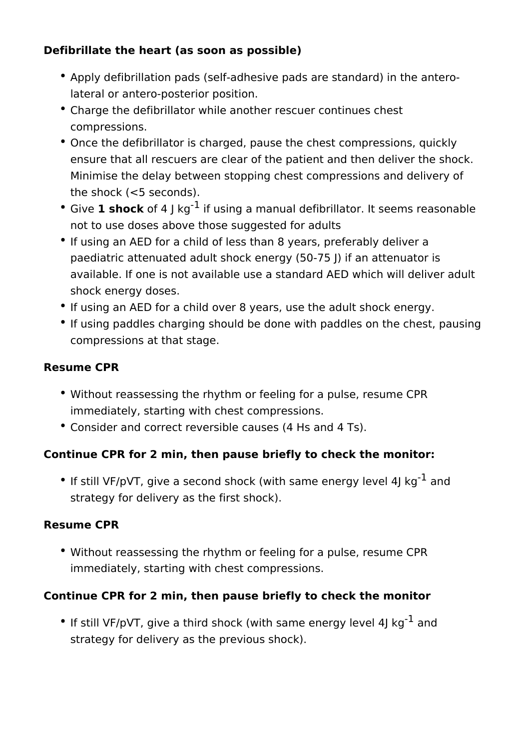#### **Defibrillate the heart (as soon as possible)**

- Apply defibrillation pads (self-adhesive pads are standard) in the anterolateral or antero-posterior position.
- Charge the defibrillator while another rescuer continues chest compressions.
- Once the defibrillator is charged, pause the chest compressions, quickly ensure that all rescuers are clear of the patient and then deliver the shock. Minimise the delay between stopping chest compressions and delivery of the shock (<5 seconds).
- Give 1 shock of 4 | kg<sup>-1</sup> if using a manual defibrillator. It seems reasonable not to use doses above those suggested for adults
- If using an AED for a child of less than 8 years, preferably deliver a paediatric attenuated adult shock energy (50-75 J) if an attenuator is available. If one is not available use a standard AED which will deliver adult shock energy doses.
- If using an AED for a child over 8 years, use the adult shock energy.
- If using paddles charging should be done with paddles on the chest, pausing compressions at that stage.

#### **Resume CPR**

- Without reassessing the rhythm or feeling for a pulse, resume CPR immediately, starting with chest compressions.
- Consider and correct reversible causes (4 Hs and 4 Ts).

#### **Continue CPR for 2 min, then pause briefly to check the monitor:**

• If still VF/pVT, give a second shock (with same energy level 4J kg $^{-1}$  and strategy for delivery as the first shock).

#### **Resume CPR**

Without reassessing the rhythm or feeling for a pulse, resume CPR immediately, starting with chest compressions.

#### **Continue CPR for 2 min, then pause briefly to check the monitor**

• If still VF/pVT, give a third shock (with same energy level 4J kg<sup>-1</sup> and strategy for delivery as the previous shock).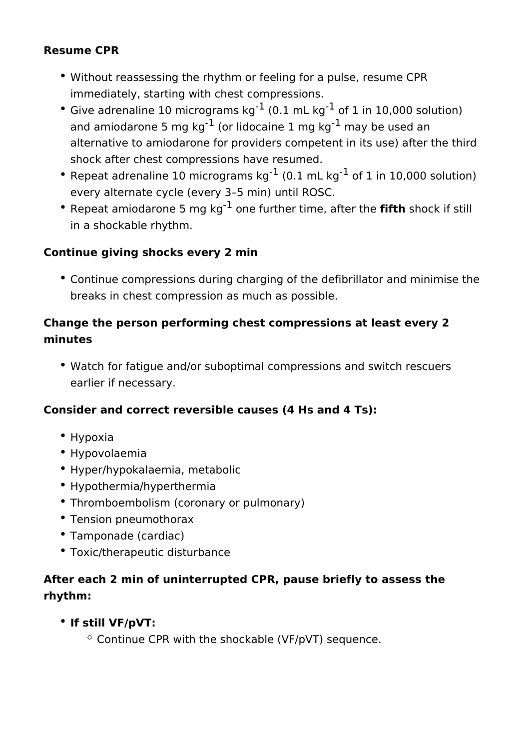#### **Resume CPR**

- Without reassessing the rhythm or feeling for a pulse, resume CPR immediately, starting with chest compressions.
- Give adrenaline 10 micrograms  $kg^{-1}$  (0.1 mL  $kg^{-1}$  of 1 in 10,000 solution) and amiodarone 5 mg  $kg^{-1}$  (or lidocaine 1 mg  $kg^{-1}$  may be used an alternative to amiodarone for providers competent in its use) after the third shock after chest compressions have resumed.
- Repeat adrenaline 10 micrograms  $kg^{-1}$  (0.1 mL kg<sup>-1</sup> of 1 in 10,000 solution) every alternate cycle (every 3–5 min) until ROSC.
- Repeat amiodarone 5 mg kg-1 one further time, after the **fifth** shock if still in a shockable rhythm.

#### **Continue giving shocks every 2 min**

Continue compressions during charging of the defibrillator and minimise the breaks in chest compression as much as possible.

#### **Change the person performing chest compressions at least every 2 minutes**

Watch for fatigue and/or suboptimal compressions and switch rescuers earlier if necessary.

#### **Consider and correct reversible causes (4 Hs and 4 Ts):**

- Hypoxia
- Hypovolaemia
- Hyper/hypokalaemia, metabolic
- Hypothermia/hyperthermia
- Thromboembolism (coronary or pulmonary)
- Tension pneumothorax
- Tamponade (cardiac)
- Toxic/therapeutic disturbance

### **After each 2 min of uninterrupted CPR, pause briefly to assess the rhythm:**

#### **If still VF/pVT:**

 $\circ$  Continue CPR with the shockable (VF/pVT) sequence.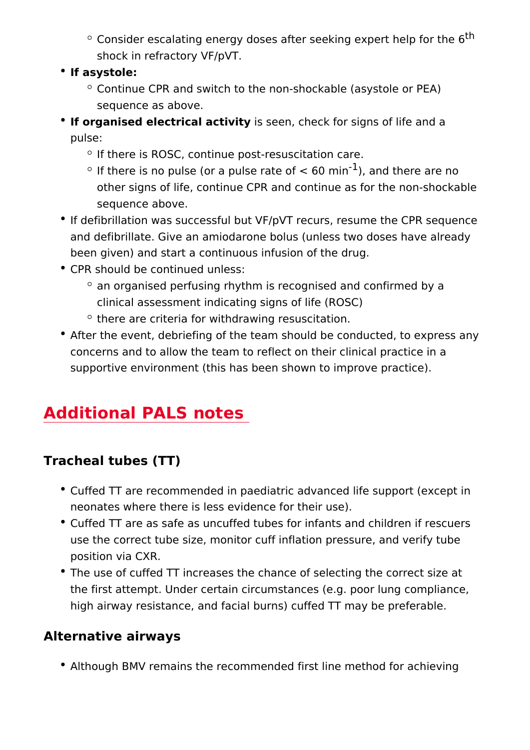- $\circ$  Consider escalating energy doses after seeking  $e^{h}$ xpert h shock in refractory VF/pVT.
- If asystole:
	- $\circ$  Continue CPR and switch to the non-shockable (asystole sequence as above.
- $\bullet$  If organised electrical activition, check for signs of life and pulse:
	- o If there is ROSC, continue post-resuscitation care.
	- $\degree$  If there is no pulse (or a pulse rat $\frac{1}{16}$  cannot to the meinare no other signs of life, continue CPR and continue as for the sequence above.
- If defibrillation was successful but VF/pVT recurs, resume t and defibrillate. Give an amiodarone bolus (unless two dose been given) and start a continuous infusion of the drug.
- CPR should be continued unless:
	- $\degree$  an organised perfusing rhythm is recognised and confirm clinical assessment indicating signs of life (ROSC)
	- $\circ$  there are criteria for withdrawing resuscitation.
- After the event, debriefing of the team should be conducted concerns and to allow the team to reflect on their clinical p supportive environment (this has been shown to improve pra

### Additional PALS notes

Tracheal tubes (TT)

- Cuffed TT are recommended in paediatric advanced life supp neonates where there is less evidence for their use).
- Cuffed TT are as safe as uncuffed tubes for infants and chil use the correct tube size, monitor cuff inflation pressure, a position via CXR.
- The use of cuffed TT increases the chance of selecting the the first attempt. Under certain circumstances (e.g. poor lur high airway resistance, and facial burns) cuffed TT may be

#### Alternative airways

• Although BMV remains the recommended first line method fo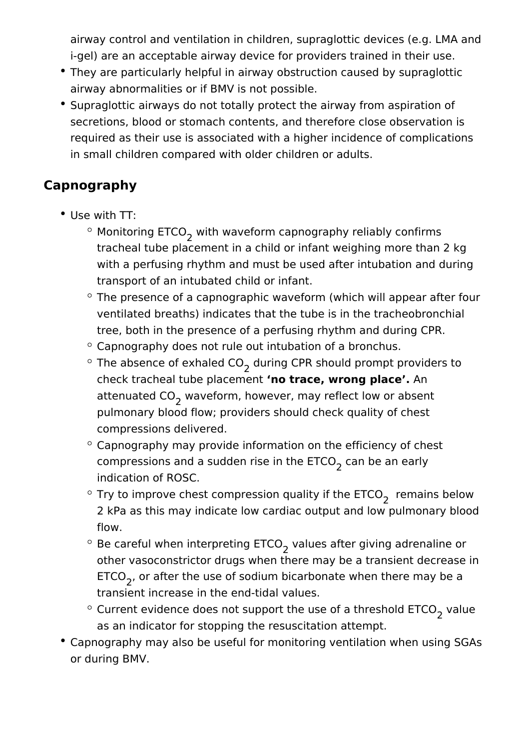airway control and ventilation in children, supraglottic devices (e.g. LMA and i-gel) are an acceptable airway device for providers trained in their use.

- They are particularly helpful in airway obstruction caused by supraglottic airway abnormalities or if BMV is not possible.
- Supraglottic airways do not totally protect the airway from aspiration of secretions, blood or stomach contents, and therefore close observation is required as their use is associated with a higher incidence of complications in small children compared with older children or adults.

## **Capnography**

- Use with TT:
	- Monitoring ETCO<sub>2</sub> with waveform capnography reliably confirms tracheal tube placement in a child or infant weighing more than 2 kg with a perfusing rhythm and must be used after intubation and during transport of an intubated child or infant.
	- $\degree$  The presence of a capnographic waveform (which will appear after four ventilated breaths) indicates that the tube is in the tracheobronchial tree, both in the presence of a perfusing rhythm and during CPR.
	- $\degree$  Capnography does not rule out intubation of a bronchus.
	- The absence of exhaled CO<sub>2</sub> during CPR should prompt providers to check tracheal tube placement **'no trace, wrong place'.** An attenuated CO<sub>2</sub> waveform, however, may reflect low or absent pulmonary blood flow; providers should check quality of chest compressions delivered.
	- $\degree$  Capnography may provide information on the efficiency of chest compressions and a sudden rise in the ETCO<sub>2</sub> can be an early indication of ROSC.
	- Try to improve chest compression quality if the ETCO<sub>2</sub> remains below 2 kPa as this may indicate low cardiac output and low pulmonary blood flow.
	- Be careful when interpreting ETCO<sub>2</sub> values after giving adrenaline or other vasoconstrictor drugs when there may be a transient decrease in ETCO<sub>2</sub>, or after the use of sodium bicarbonate when there may be a transient increase in the end-tidal values.
	- Current evidence does not support the use of a threshold  $\mathsf{ETCO}_2^{}$  value as an indicator for stopping the resuscitation attempt.
- Capnography may also be useful for monitoring ventilation when using SGAs or during BMV.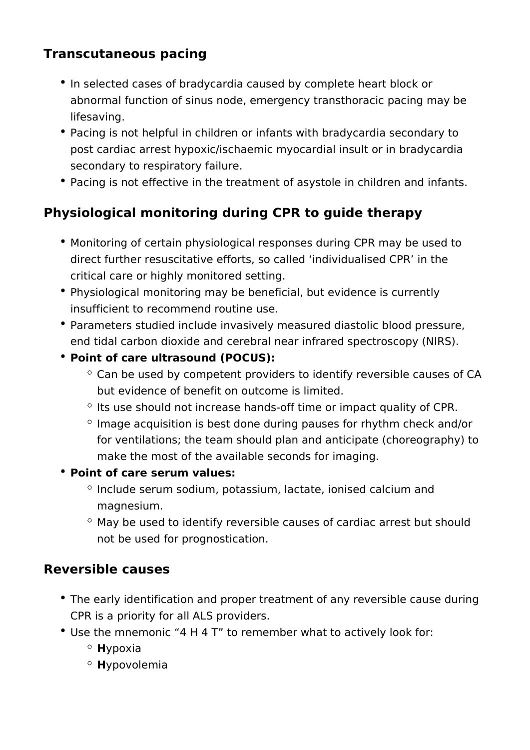### **Transcutaneous pacing**

- In selected cases of bradycardia caused by complete heart block or abnormal function of sinus node, emergency transthoracic pacing may be lifesaving.
- Pacing is not helpful in children or infants with bradycardia secondary to post cardiac arrest hypoxic/ischaemic myocardial insult or in bradycardia secondary to respiratory failure.
- Pacing is not effective in the treatment of asystole in children and infants.

### **Physiological monitoring during CPR to guide therapy**

- Monitoring of certain physiological responses during CPR may be used to direct further resuscitative efforts, so called 'individualised CPR' in the critical care or highly monitored setting.
- Physiological monitoring may be beneficial, but evidence is currently insufficient to recommend routine use.
- Parameters studied include invasively measured diastolic blood pressure, end tidal carbon dioxide and cerebral near infrared spectroscopy (NIRS).
- **Point of care ultrasound (POCUS):** 
	- $\degree$  Can be used by competent providers to identify reversible causes of CA but evidence of benefit on outcome is limited.
	- $\circ$  Its use should not increase hands-off time or impact quality of CPR.
	- $\degree$  Image acquisition is best done during pauses for rhythm check and/or for ventilations; the team should plan and anticipate (choreography) to make the most of the available seconds for imaging.
- **Point of care serum values:** 
	- $\circ$  Include serum sodium, potassium, lactate, ionised calcium and magnesium.
	- $\degree$  May be used to identify reversible causes of cardiac arrest but should not be used for prognostication.

#### **Reversible causes**

- The early identification and proper treatment of any reversible cause during CPR is a priority for all ALS providers.
- Use the mnemonic "4 H 4 T" to remember what to actively look for:
	- **H**ypoxia
	- **H**ypovolemia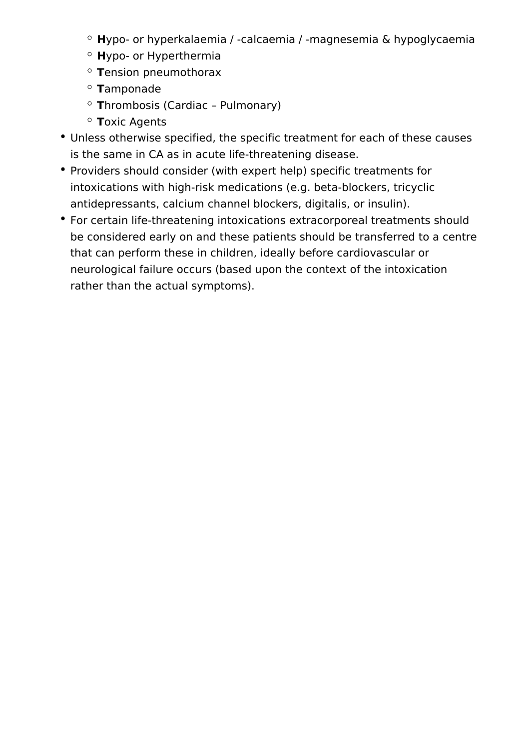- **H**ypo- or hyperkalaemia / -calcaemia / -magnesemia & hypoglycaemia
- **H**ypo- or Hyperthermia
- **T**ension pneumothorax
- **T**amponade
- **T**hrombosis (Cardiac Pulmonary)
- **T**oxic Agents
- Unless otherwise specified, the specific treatment for each of these causes is the same in CA as in acute life-threatening disease.
- Providers should consider (with expert help) specific treatments for intoxications with high-risk medications (e.g. beta-blockers, tricyclic antidepressants, calcium channel blockers, digitalis, or insulin).
- For certain life-threatening intoxications extracorporeal treatments should be considered early on and these patients should be transferred to a centre that can perform these in children, ideally before cardiovascular or neurological failure occurs (based upon the context of the intoxication rather than the actual symptoms).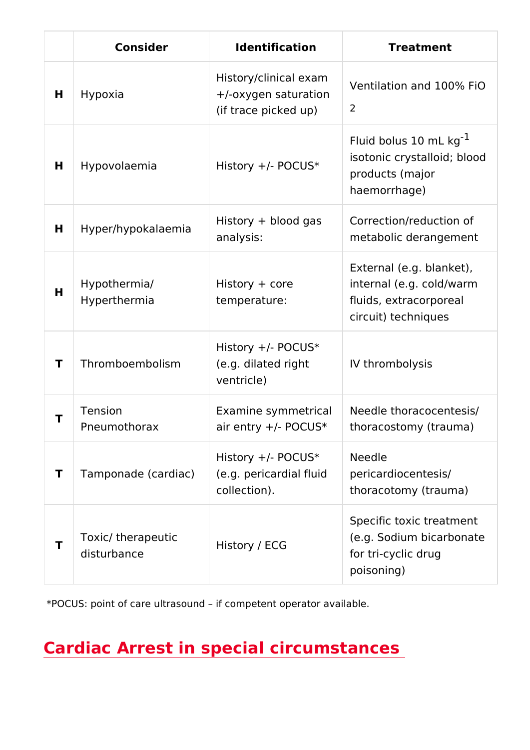|        | Consider                         | Identification                                                       | Treatment                                                                                             |  |
|--------|----------------------------------|----------------------------------------------------------------------|-------------------------------------------------------------------------------------------------------|--|
| Н      | Hypoxia                          | History/clinical<br>+/-oxygen satura<br>(if trace picked             | Ventilation and 100% F<br>$\overline{2}$                                                              |  |
| H      | Hypovolaemia                     | History +/- POCU                                                     | Fluid bolus 10 mL kg<br>isotonic crystalloid; blo<br>products (major<br>haemorrhage)                  |  |
| H      | Hyper/hypokalae                  | History + blood<br>analysis:                                         | Correction/reduction of<br>metabolic derangement                                                      |  |
| H      | Hypothermia/<br>Hyperthermia     | History + core<br>temperature:                                       | External (e.g. blanket),<br>internal (e.g. cold/warm<br>fluids, extracorporeal<br>circuit) techniques |  |
| $\top$ | Thromboembolisn                  | History +/- POCU<br>(e.g. dilated rightly thrombolysis<br>ventricle) |                                                                                                       |  |
| T      | Tension<br>Pneumothorax          | Examine symmet                                                       | Needle thoracocentesis<br>air entry +/- PO( thoracostomy (trauma)                                     |  |
| T      | Tamponade (card                  | History +/- POCU<br>(e.g. pericardial<br>collection).                | Needle<br>pericardiocentesis/<br>thoracotomy $(\tan m a)$                                             |  |
| Τ      | Toxic/ therapeuti<br>disturbance | History / ECG                                                        | Specific toxic treatment<br>(e.g. Sodium bicarbonat<br>for tri-cyclic drug<br>poisoning)              |  |

\*POCUS: point of care ultrasound if competent operator available.

Cardiac Arrest in special circumstances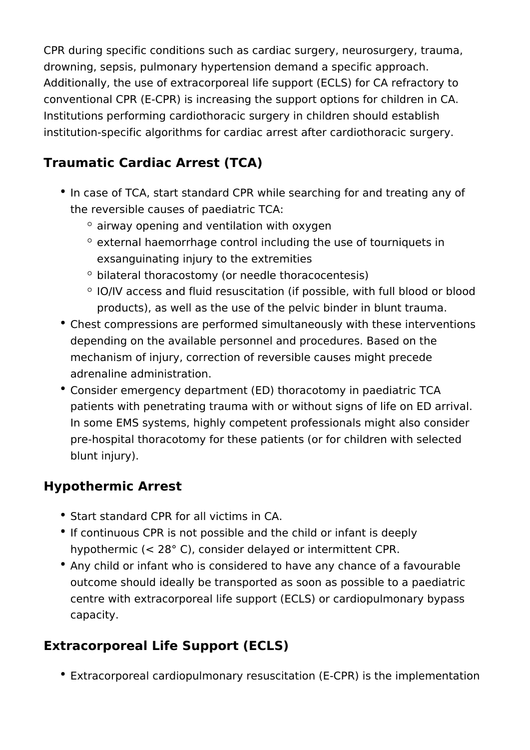CPR during specific conditions such as cardiac surgery, neurosurgery, trauma, drowning, sepsis, pulmonary hypertension demand a specific approach. Additionally, the use of extracorporeal life support (ECLS) for CA refractory to conventional CPR (E-CPR) is increasing the support options for children in CA. Institutions performing cardiothoracic surgery in children should establish institution-specific algorithms for cardiac arrest after cardiothoracic surgery.

## **Traumatic Cardiac Arrest (TCA)**

- In case of TCA, start standard CPR while searching for and treating any of the reversible causes of paediatric TCA:
	- $\degree$  airway opening and ventilation with oxygen
	- $\degree$  external haemorrhage control including the use of tourniquets in exsanguinating injury to the extremities
	- $\circ$  bilateral thoracostomy (or needle thoracocentesis)
	- $\circ$  IO/IV access and fluid resuscitation (if possible, with full blood or blood products), as well as the use of the pelvic binder in blunt trauma.
- Chest compressions are performed simultaneously with these interventions depending on the available personnel and procedures. Based on the mechanism of injury, correction of reversible causes might precede adrenaline administration.
- Consider emergency department (ED) thoracotomy in paediatric TCA patients with penetrating trauma with or without signs of life on ED arrival. In some EMS systems, highly competent professionals might also consider pre-hospital thoracotomy for these patients (or for children with selected blunt injury).

### **Hypothermic Arrest**

- Start standard CPR for all victims in CA.
- If continuous CPR is not possible and the child or infant is deeply hypothermic (< 28° C), consider delayed or intermittent CPR.
- Any child or infant who is considered to have any chance of a favourable outcome should ideally be transported as soon as possible to a paediatric centre with extracorporeal life support (ECLS) or cardiopulmonary bypass capacity.

## **Extracorporeal Life Support (ECLS)**

Extracorporeal cardiopulmonary resuscitation (E-CPR) is the implementation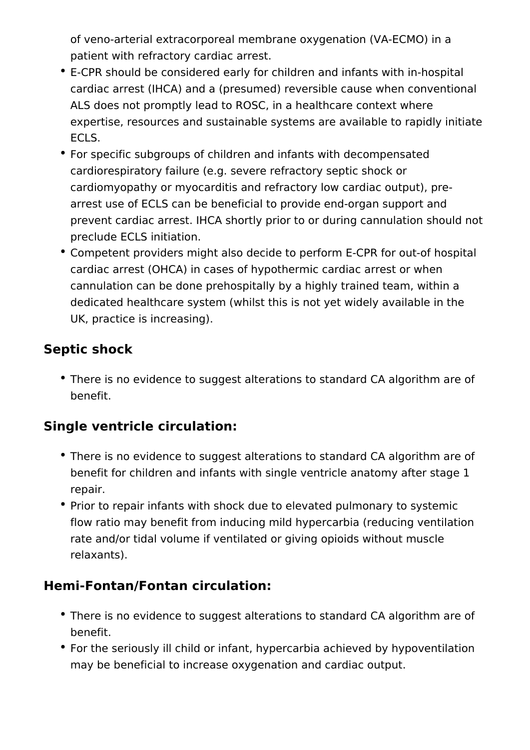of veno-arterial extracorporeal membrane oxygenation (VA-ECMO) in a patient with refractory cardiac arrest.

- E-CPR should be considered early for children and infants with in-hospital cardiac arrest (IHCA) and a (presumed) reversible cause when conventional ALS does not promptly lead to ROSC, in a healthcare context where expertise, resources and sustainable systems are available to rapidly initiate ECLS.
- For specific subgroups of children and infants with decompensated cardiorespiratory failure (e.g. severe refractory septic shock or cardiomyopathy or myocarditis and refractory low cardiac output), prearrest use of ECLS can be beneficial to provide end-organ support and prevent cardiac arrest. IHCA shortly prior to or during cannulation should not preclude ECLS initiation.
- Competent providers might also decide to perform E-CPR for out-of hospital cardiac arrest (OHCA) in cases of hypothermic cardiac arrest or when cannulation can be done prehospitally by a highly trained team, within a dedicated healthcare system (whilst this is not yet widely available in the UK, practice is increasing).

### **Septic shock**

There is no evidence to suggest alterations to standard CA algorithm are of benefit.

## **Single ventricle circulation:**

- There is no evidence to suggest alterations to standard CA algorithm are of benefit for children and infants with single ventricle anatomy after stage 1 repair.
- Prior to repair infants with shock due to elevated pulmonary to systemic flow ratio may benefit from inducing mild hypercarbia (reducing ventilation rate and/or tidal volume if ventilated or giving opioids without muscle relaxants).

### **Hemi-Fontan/Fontan circulation:**

- There is no evidence to suggest alterations to standard CA algorithm are of benefit.
- For the seriously ill child or infant, hypercarbia achieved by hypoventilation may be beneficial to increase oxygenation and cardiac output.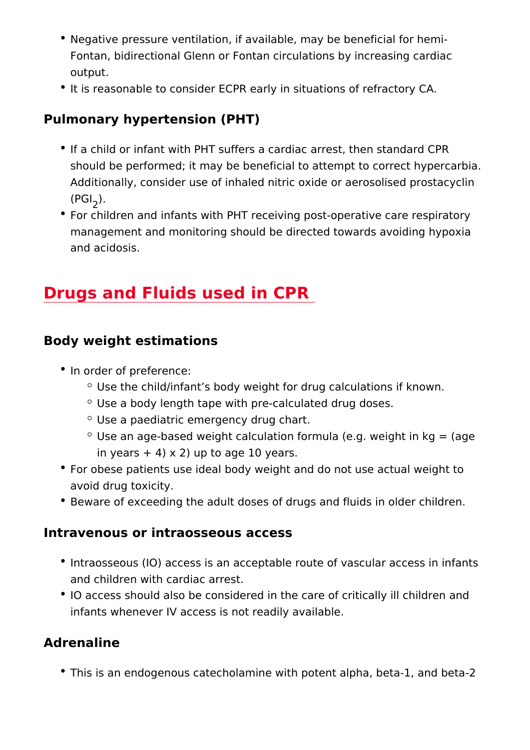- Negative pressure ventilation, if available, may be beneficia Fontan, bidirectional Glenn or Fontan circulations by increa output.
- It is reasonable to consider ECPR early in situations of refr

Pulmonary hypertension (PHT)

- If a child or infant with PHT suffers a cardiac arrest, then s should be performed; it may be beneficial to attempt to corr Additionally, consider use of inhaled nitric oxide or aerosol  $(P \bigoplus)$ .
- For children and infants with PHT receiving post-operative c management and monitoring should be directed towards avoi and acidosis.

## Drugs and Fluids used in CPR

Body weight estimations

- In order of preference:
	- $\degree$  Use the child/infant s body weight for drug calculations
	- Use a body length tape with pre-calculated drug doses.
	- Use a paediatric emergency drug chart.
	- $\circ$  Use an age-based weight calculation formula (e.g. weigh in years  $+4$ ) x 2) up to age 10 years.
	- For obese patients use ideal body weight and do not use act avoid drug toxicity.
	- Beware of exceeding the adult doses of drugs and fluids in

Intravenous or intraosseous access

- Intraosseous (IO) access is an acceptable route of vascular and children with cardiac arrest.
- IO access should also be considered in the care of critically infants whenever IV access is not readily available.

Adrenaline

• This is an endogenous catecholamine with potent alpha, bet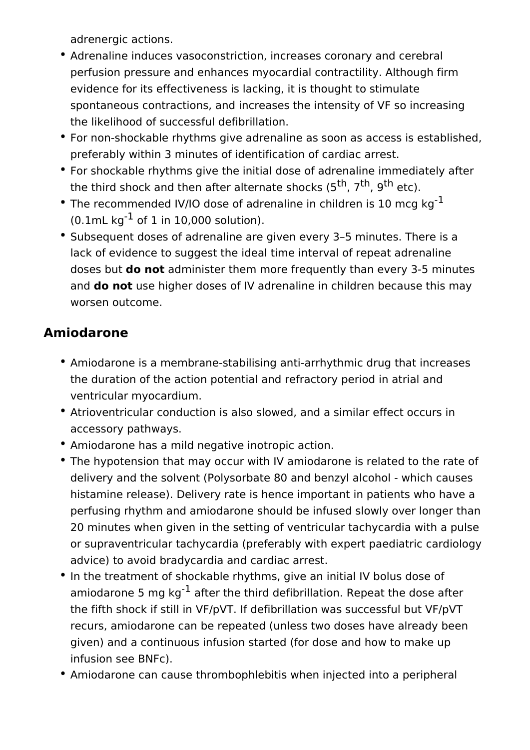adrenergic actions.

- Adrenaline induces vasoconstriction, increases coronary and cerebral perfusion pressure and enhances myocardial contractility. Although firm evidence for its effectiveness is lacking, it is thought to stimulate spontaneous contractions, and increases the intensity of VF so increasing the likelihood of successful defibrillation.
- For non-shockable rhythms give adrenaline as soon as access is established, preferably within 3 minutes of identification of cardiac arrest.
- For shockable rhythms give the initial dose of adrenaline immediately after the third shock and then after alternate shocks  $(5<sup>th</sup>, 7<sup>th</sup>, 9<sup>th</sup> etc).$
- The recommended IV/IO dose of adrenaline in children is 10 mcg  $kg^{-1}$  $(0.1 \text{mL kg}^{-1} \text{ of } 1 \text{ in } 10,000 \text{ solution}).$
- Subsequent doses of adrenaline are given every 3–5 minutes. There is a lack of evidence to suggest the ideal time interval of repeat adrenaline doses but **do not** administer them more frequently than every 3-5 minutes and **do not** use higher doses of IV adrenaline in children because this may worsen outcome.

### **Amiodarone**

- Amiodarone is a membrane-stabilising anti-arrhythmic drug that increases the duration of the action potential and refractory period in atrial and ventricular myocardium.
- Atrioventricular conduction is also slowed, and a similar effect occurs in accessory pathways.
- Amiodarone has a mild negative inotropic action.
- The hypotension that may occur with IV amiodarone is related to the rate of delivery and the solvent (Polysorbate 80 and benzyl alcohol - which causes histamine release). Delivery rate is hence important in patients who have a perfusing rhythm and amiodarone should be infused slowly over longer than 20 minutes when given in the setting of ventricular tachycardia with a pulse or supraventricular tachycardia (preferably with expert paediatric cardiology advice) to avoid bradycardia and cardiac arrest.
- In the treatment of shockable rhythms, give an initial IV bolus dose of amiodarone 5 mg  $kq^{-1}$  after the third defibrillation. Repeat the dose after the fifth shock if still in VF/pVT. If defibrillation was successful but VF/pVT recurs, amiodarone can be repeated (unless two doses have already been given) and a continuous infusion started (for dose and how to make up infusion see BNFc).
- Amiodarone can cause thrombophlebitis when injected into a peripheral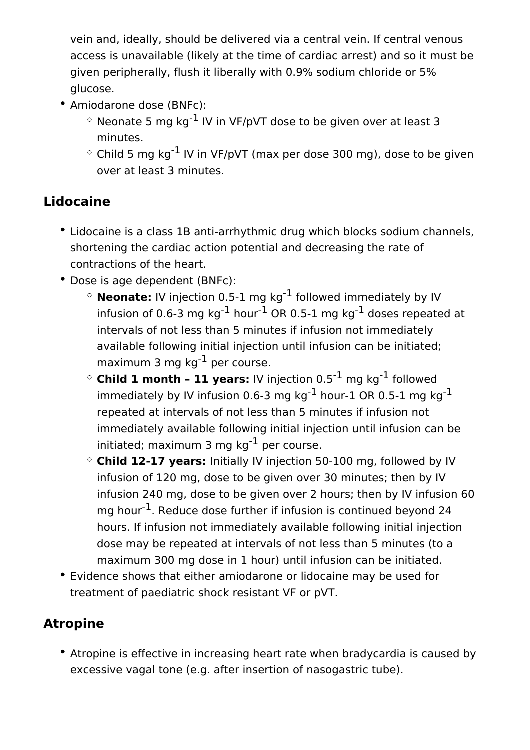vein and, ideally, should be delivered via a central vein. If central venous access is unavailable (likely at the time of cardiac arrest) and so it must be given peripherally, flush it liberally with 0.9% sodium chloride or 5% glucose.

- Amiodarone dose (BNFc):
	- $\circ$  Neonate 5 mg kg<sup>-1</sup> IV in VF/pVT dose to be given over at least 3 minutes.
	- $\degree$  Child 5 mg kg<sup>-1</sup> IV in VF/pVT (max per dose 300 mg), dose to be given over at least 3 minutes.

## **Lidocaine**

- Lidocaine is a class 1B anti-arrhythmic drug which blocks sodium channels, shortening the cardiac action potential and decreasing the rate of contractions of the heart.
- Dose is age dependent (BNFc):
	- **Neonate:** IV injection 0.5-1 mg kg-1 followed immediately by IV infusion of 0.6-3 mg kg<sup>-1</sup> hour<sup>-1</sup> OR 0.5-1 mg kg<sup>-1</sup> doses repeated at intervals of not less than 5 minutes if infusion not immediately available following initial injection until infusion can be initiated; maximum 3 mg  $ka^{-1}$  per course.
	- $\circ$  **Child 1 month 11 years:** IV injection 0.5<sup>-1</sup> mg kg<sup>-1</sup> followed immediately by IV infusion 0.6-3 mg kg<sup>-1</sup> hour-1 OR 0.5-1 mg kg<sup>-1</sup> repeated at intervals of not less than 5 minutes if infusion not immediately available following initial injection until infusion can be initiated; maximum 3 mg  $kg^{-1}$  per course.
	- **Child 12-17 years:** Initially IV injection 50-100 mg, followed by IV infusion of 120 mg, dose to be given over 30 minutes; then by IV infusion 240 mg, dose to be given over 2 hours; then by IV infusion 60 mg hour<sup>-1</sup>. Reduce dose further if infusion is continued beyond 24 hours. If infusion not immediately available following initial injection dose may be repeated at intervals of not less than 5 minutes (to a maximum 300 mg dose in 1 hour) until infusion can be initiated.
- Evidence shows that either amiodarone or lidocaine may be used for treatment of paediatric shock resistant VF or pVT.

## **Atropine**

Atropine is effective in increasing heart rate when bradycardia is caused by excessive vagal tone (e.g. after insertion of nasogastric tube).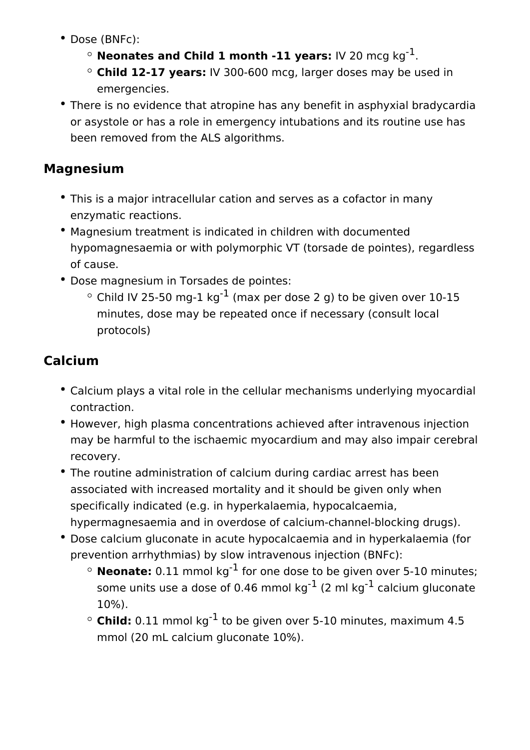- Dose (BNFc):
	- $\circ$  **Neonates and Child 1 month -11 years:** IV 20 mcg kg<sup>-1</sup>.
	- **Child 12-17 years:** IV 300-600 mcg, larger doses may be used in emergencies.
- There is no evidence that atropine has any benefit in asphyxial bradycardia or asystole or has a role in emergency intubations and its routine use has been removed from the ALS algorithms.

### **Magnesium**

- This is a major intracellular cation and serves as a cofactor in many enzymatic reactions.
- Magnesium treatment is indicated in children with documented hypomagnesaemia or with polymorphic VT (torsade de pointes), regardless of cause.
- Dose magnesium in Torsades de pointes:
	- $\degree$  Child IV 25-50 mg-1 kg<sup>-1</sup> (max per dose 2 g) to be given over 10-15 minutes, dose may be repeated once if necessary (consult local protocols)

## **Calcium**

- Calcium plays a vital role in the cellular mechanisms underlying myocardial contraction.
- However, high plasma concentrations achieved after intravenous injection may be harmful to the ischaemic myocardium and may also impair cerebral recovery.
- The routine administration of calcium during cardiac arrest has been associated with increased mortality and it should be given only when specifically indicated (e.g. in hyperkalaemia, hypocalcaemia, hypermagnesaemia and in overdose of calcium-channel-blocking drugs).
- Dose calcium gluconate in acute hypocalcaemia and in hyperkalaemia (for prevention arrhythmias) by slow intravenous injection (BNFc):
	- $\circ$  **Neonate:** 0.11 mmol kg<sup>-1</sup> for one dose to be given over 5-10 minutes; some units use a dose of 0.46 mmol  $kg^{-1}$  (2 ml kg<sup>-1</sup> calcium gluconate 10%).
	- $\circ$  **Child:** 0.11 mmol kg<sup>-1</sup> to be given over 5-10 minutes, maximum 4.5 mmol (20 mL calcium gluconate 10%).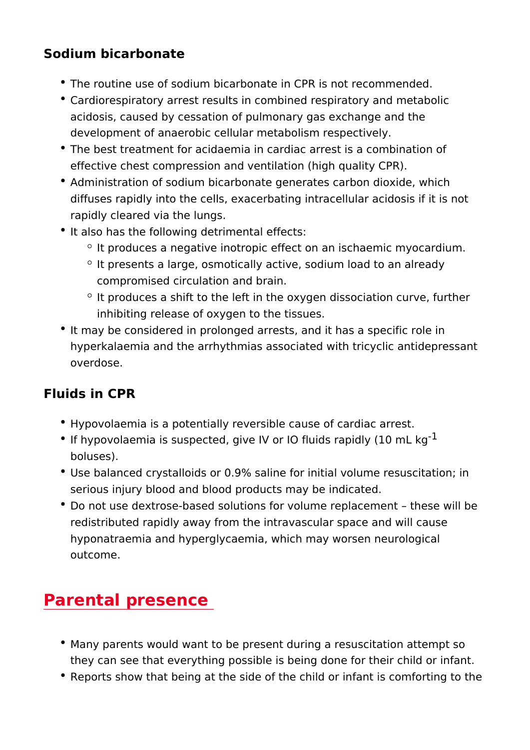#### Sodium bicarbonate

- The routine use of sodium bicarbonate in CPR is not recomm
- Cardiorespiratory arrest results in combined respiratory and acidosis, caused by cessation of pulmonary gas exchange and development of anaerobic cellular metabolism respectively.
- The best treatment for acidaemia in cardiac arrest is a comb effective chest compression and ventilation (high quality CP
- Administration of sodium bicarbonate generates carbon diox diffuses rapidly into the cells, exacerbating intracellular ac rapidly cleared via the lungs.
- It also has the following detrimental effects:
	- $\circ$  It produces a negative inotropic effect on an ischaemic m
	- $\degree$  It presents a large, osmotically active, sodium load to a compromised circulation and brain.
	- $\circ$  It produces a shift to the left in the oxygen dissociation inhibiting release of oxygen to the tissues.
- It may be considered in prolonged arrests, and it has a spec hyperkalaemia and the arrhythmias associated with tricyclic overdose.

#### Fluids in CPR

- Hypovolaemia is a potentially reversible cause of cardiac ar
- If hypovolaemia is suspected, give IV or IO fluids rapidly (1 boluses).
- Use balanced crystalloids or 0.9% saline for initial volume r serious injury blood and blood products may be indicated.
- \* Do not use dextrose-based solutions for volume replacement redistributed rapidly away from the intravascular space and hyponatraemia and hyperglycaemia, which may worsen neuro outcome.

### Parental presence

- $\bullet$  Many parents would want to be present during a resuscitatic they can see that everything possible is being done for their
- Reports show that being at the side of the child or infant is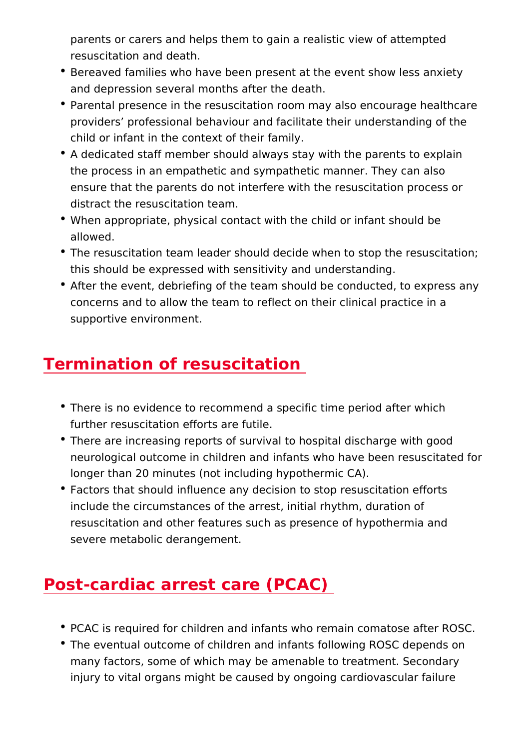parents or carers and helps them to gain a realistic view of resuscitation and death.

- **Bereaved families who have been present at the event show** and depression several months after the death.
- Parental presence in the resuscitation room may also encour providers professional behaviour and facilitate their unders child or infant in the context of their family.
- A dedicated staff member should always stay with the paren the process in an empathetic and sympathetic manner. They ensure that the parents do not interfere with the resuscitati distract the resuscitation team.
- . When appropriate, physical contact with the child or infant showld be when allowed.
- \* The resuscitation team leader should decide when to stop th this should be expressed with sensitivity and understanding.
- After the event, debriefing of the team should be conducted concerns and to allow the team to reflect on their clinical p supportive environment.

## Termination of resuscitation

- There is no evidence to recommend a specific time period at further resuscitation efforts are futile.
- There are increasing reports of survival to hospital discharg neurological outcome in children and infants who have been longer than 20 minutes (not including hypothermic CA).
- Factors that should influence any decision to stop resuscita include the circumstances of the arrest, initial rhythm, dura resuscitation and other features such as presence of hypoth severe metabolic derangement.

# Post-cardiac arrest care (PCAC)

- PCAC is required for children and infants who remain comat
- The eventual outcome of children and infants following ROS many factors, some of which may be amenable to treatment. injury to vital organs might be caused by ongoing cardiovas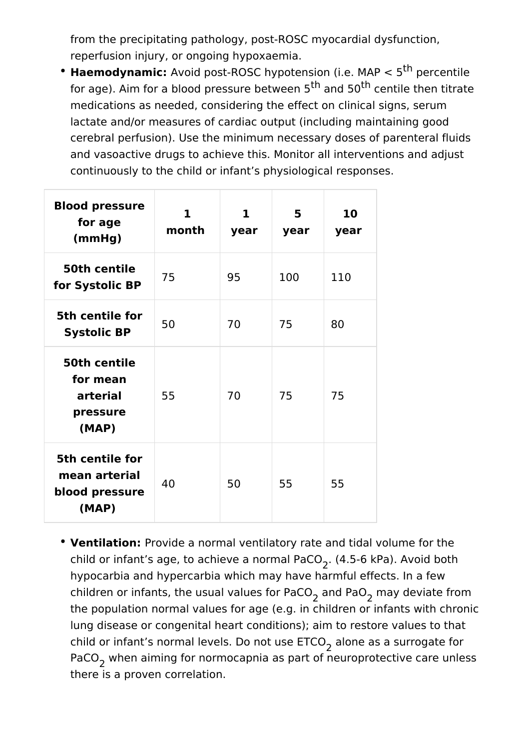from the precipitating pathology, post-ROSC myocardial dysfunction, reperfusion injury, or ongoing hypoxaemia.

**Haemodynamic:** Avoid post-ROSC hypotension (i.e. MAP < 5th percentile for age). Aim for a blood pressure between  $5<sup>th</sup>$  and  $50<sup>th</sup>$  centile then titrate medications as needed, considering the effect on clinical signs, serum lactate and/or measures of cardiac output (including maintaining good cerebral perfusion). Use the minimum necessary doses of parenteral fluids and vasoactive drugs to achieve this. Monitor all interventions and adjust continuously to the child or infant's physiological responses.

| <b>Blood pressure</b><br>for age<br>(mmHg)                  | $\mathbf{1}$<br>month | $\mathbf{1}$<br>year | 5<br>year | 10<br>year |
|-------------------------------------------------------------|-----------------------|----------------------|-----------|------------|
| 50th centile<br>for Systolic BP                             | 75                    | 95                   | 100       | 110        |
| 5th centile for<br><b>Systolic BP</b>                       | 50                    | 70                   | 75        | 80         |
| 50th centile<br>for mean<br>arterial<br>pressure<br>(MAP)   | 55                    | 70                   | 75        | 75         |
| 5th centile for<br>mean arterial<br>blood pressure<br>(MAP) | 40                    | 50                   | 55        | 55         |

**Ventilation:** Provide a normal ventilatory rate and tidal volume for the child or infant's age, to achieve a normal PaCO $_2^{\rm }$ . (4.5-6 kPa). Avoid both hypocarbia and hypercarbia which may have harmful effects. In a few children or infants, the usual values for PaCO<sub>2</sub> and PaO<sub>2</sub> may deviate from the population normal values for age (e.g. in children or infants with chronic lung disease or congenital heart conditions); aim to restore values to that child or infant's normal levels. Do not use  $\mathsf{ETCO}_2$  alone as a surrogate for PaCO<sub>2</sub> when aiming for normocapnia as part of neuroprotective care unless there is a proven correlation.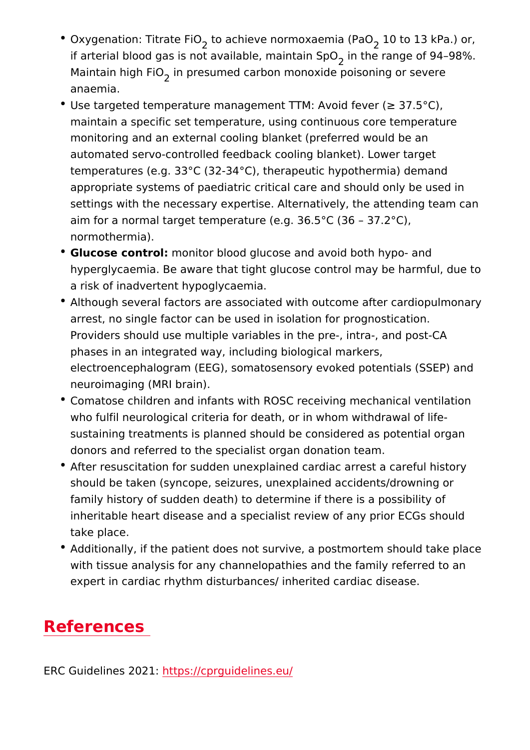- $\bullet$  Oxygenation: Titratteo FaicOhieve normoxae $\mathfrak{m}$ i $\mathtt{a}$ 0(PaaOl3 kPa.) or, if arterial blood gas is not available, imm thine thaim go Export 94 98%. Maintain high imi presumed carbon monoxide poisoning or sev anaemia.
- Use targeted temperature management TTM: Avoid fever ("e 3 maintain a specific set temperature, using continuous core t monitoring and an external cooling blanket (preferred would automated servo-controlled feedback cooling blanket). Lowe temperatures (e.g.  $33^{\circ}$ C (32-34 $^{\circ}$ C), therapeutic hypothermia appropriate systems of paediatric critical care and should o settings with the necessary expertise. Alternatively, the att aim for a normal target temperature (e.g. 36.5°C (36 37.2° normothermia).
- Glucose contronlonitor blood glucose and avoid both hypo- an hyperglycaemia. Be aware that tight glucose control may be a risk of inadvertent hypoglycaemia.
- Although several factors are associated with outcome after arrest, no single factor can be used in isolation for prognos Providers should use multiple variables in the pre-, intra-, and post-CA phases in an integrated way, including biological markers, electroencephalogram (EEG), somatosensory evoked potenti neuroimaging (MRI brain).
- Comatose children and infants with ROSC receiving mechani who fulfil neurological criteria for death, or in whom withdra sustaining treatments is planned should be considered as po donors and referred to the specialist organ donation team.
- After resuscitation for sudden unexplained cardiac arrest a should be taken (syncope, seizures, unexplained accidents/d family history of sudden death) to determine if there is a po inheritable heart disease and a specialist review of any pric take place.
- Additionally, if the patient does not survive, a postmortem s with tissue analysis for any channelopathies and the family expert in cardiac rhythm disturbances/ inherited cardiac dis

### References

ERC Guidelines  $h202s$ ://cprguidelines.eu/